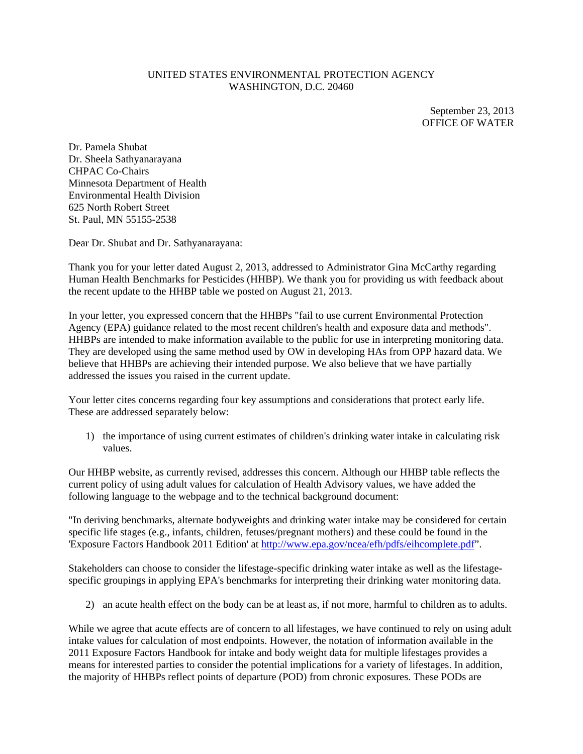## UNITED STATES ENVIRONMENTAL PROTECTION AGENCY WASHINGTON, D.C. 20460

September 23, 2013 OFFICE OF WATER

Dr. Pamela Shubat Dr. Sheela Sathyanarayana CHPAC Co-Chairs Minnesota Department of Health Environmental Health Division 625 North Robert Street St. Paul, MN 55155-2538

Dear Dr. Shubat and Dr. Sathyanarayana:

Thank you for your letter dated August 2, 2013, addressed to Administrator Gina McCarthy regarding Human Health Benchmarks for Pesticides (HHBP). We thank you for providing us with feedback about the recent update to the HHBP table we posted on August 21, 2013.

In your letter, you expressed concern that the HHBPs "fail to use current Environmental Protection Agency (EPA) guidance related to the most recent children's health and exposure data and methods". HHBPs are intended to make information available to the public for use in interpreting monitoring data. They are developed using the same method used by OW in developing HAs from OPP hazard data. We believe that HHBPs are achieving their intended purpose. We also believe that we have partially addressed the issues you raised in the current update.

Your letter cites concerns regarding four key assumptions and considerations that protect early life. These are addressed separately below:

1) the importance of using current estimates of children's drinking water intake in calculating risk values.

Our HHBP website, as currently revised, addresses this concern. Although our HHBP table reflects the current policy of using adult values for calculation of Health Advisory values, we have added the following language to the webpage and to the technical background document:

"In deriving benchmarks, alternate bodyweights and drinking water intake may be considered for certain specific life stages (e.g., infants, children, fetuses/pregnant mothers) and these could be found in the 'Exposure Factors Handbook 2011 Edition' at http://www.epa.gov/ncea/efh/pdfs/eihcomplete.pdf".

Stakeholders can choose to consider the lifestage-specific drinking water intake as well as the lifestagespecific groupings in applying EPA's benchmarks for interpreting their drinking water monitoring data.

2) an acute health effect on the body can be at least as, if not more, harmful to children as to adults.

While we agree that acute effects are of concern to all lifestages, we have continued to rely on using adult intake values for calculation of most endpoints. However, the notation of information available in the 2011 Exposure Factors Handbook for intake and body weight data for multiple lifestages provides a means for interested parties to consider the potential implications for a variety of lifestages. In addition, the majority of HHBPs reflect points of departure (POD) from chronic exposures. These PODs are